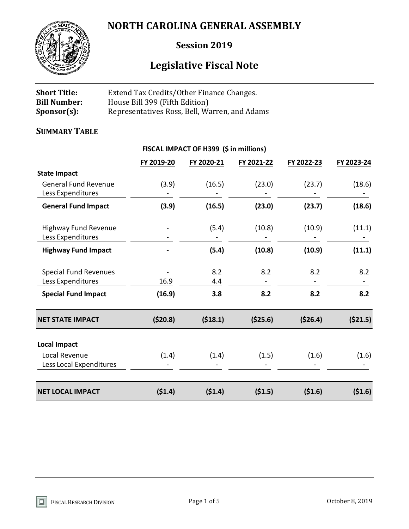# **NORTH CAROLINA GENERAL ASSEMBLY**



# **Session 2019**

# **Legislative Fiscal Note**

| <b>Short Title:</b> | Extend Tax Credits/Other Finance Changes.     |
|---------------------|-----------------------------------------------|
| <b>Bill Number:</b> | House Bill 399 (Fifth Edition)                |
| $Sponsor(s)$ :      | Representatives Ross, Bell, Warren, and Adams |

# **SUMMARY TABLE**

|                                                   |            | FISCAL IMPACT OF H399 (\$ in millions) |            |            |            |
|---------------------------------------------------|------------|----------------------------------------|------------|------------|------------|
|                                                   | FY 2019-20 | FY 2020-21                             | FY 2021-22 | FY 2022-23 | FY 2023-24 |
| <b>State Impact</b>                               |            |                                        |            |            |            |
| <b>General Fund Revenue</b><br>Less Expenditures  | (3.9)      | (16.5)                                 | (23.0)     | (23.7)     | (18.6)     |
| <b>General Fund Impact</b>                        | (3.9)      | (16.5)                                 | (23.0)     | (23.7)     | (18.6)     |
| <b>Highway Fund Revenue</b><br>Less Expenditures  |            | (5.4)                                  | (10.8)     | (10.9)     | (11.1)     |
| <b>Highway Fund Impact</b>                        |            | (5.4)                                  | (10.8)     | (10.9)     | (11.1)     |
| <b>Special Fund Revenues</b><br>Less Expenditures | 16.9       | 8.2<br>4.4                             | 8.2        | 8.2        | 8.2        |
| <b>Special Fund Impact</b>                        | (16.9)     | 3.8                                    | 8.2        | 8.2        | 8.2        |
| <b>NET STATE IMPACT</b>                           | (520.8)    | (518.1)                                | (\$25.6)   | (\$26.4)   | (521.5)    |
| <b>Local Impact</b>                               |            |                                        |            |            |            |
| Local Revenue<br>Less Local Expenditures          | (1.4)      | (1.4)                                  | (1.5)      | (1.6)      | (1.6)      |
| <b>NET LOCAL IMPACT</b>                           | (51.4)     | (51.4)                                 | (51.5)     | (51.6)     | (51.6)     |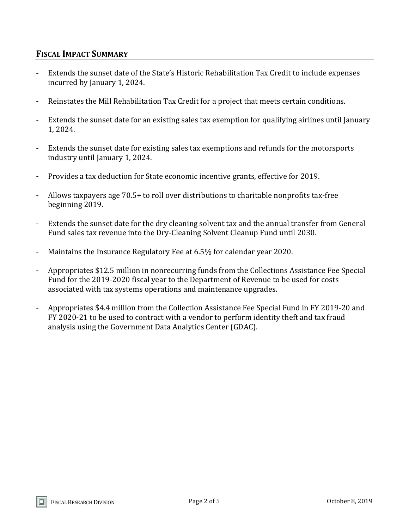# **FISCAL IMPACT SUMMARY**

- Extends the sunset date of the State's Historic Rehabilitation Tax Credit to include expenses incurred by January 1, 2024.
- Reinstates the Mill Rehabilitation Tax Credit for a project that meets certain conditions.
- Extends the sunset date for an existing sales tax exemption for qualifying airlines until January 1, 2024.
- Extends the sunset date for existing sales tax exemptions and refunds for the motorsports industry until January 1, 2024.
- Provides a tax deduction for State economic incentive grants, effective for 2019.
- Allows taxpayers age 70.5+ to roll over distributions to charitable nonprofits tax-free beginning 2019.
- Extends the sunset date for the dry cleaning solvent tax and the annual transfer from General Fund sales tax revenue into the Dry-Cleaning Solvent Cleanup Fund until 2030.
- Maintains the Insurance Regulatory Fee at 6.5% for calendar year 2020.
- Appropriates \$12.5 million in nonrecurring funds from the Collections Assistance Fee Special Fund for the 2019-2020 fiscal year to the Department of Revenue to be used for costs associated with tax systems operations and maintenance upgrades.
- Appropriates \$4.4 million from the Collection Assistance Fee Special Fund in FY 2019-20 and FY 2020-21 to be used to contract with a vendor to perform identity theft and tax fraud analysis using the Government Data Analytics Center (GDAC).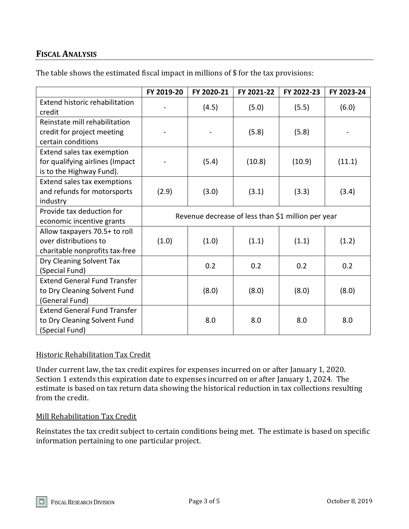# **FISCAL ANALYSIS**

|                                     | FY 2019-20                                         | FY 2020-21 | FY 2021-22 | FY 2022-23 | FY 2023-24 |
|-------------------------------------|----------------------------------------------------|------------|------------|------------|------------|
| Extend historic rehabilitation      |                                                    |            |            |            |            |
| credit                              |                                                    | (4.5)      | (5.0)      | (5.5)      | (6.0)      |
| Reinstate mill rehabilitation       |                                                    |            |            |            |            |
| credit for project meeting          |                                                    |            | (5.8)      | (5.8)      |            |
| certain conditions                  |                                                    |            |            |            |            |
| Extend sales tax exemption          |                                                    |            |            |            |            |
| for qualifying airlines (Impact     |                                                    | (5.4)      | (10.8)     | (10.9)     | (11.1)     |
| is to the Highway Fund).            |                                                    |            |            |            |            |
| Extend sales tax exemptions         |                                                    |            |            |            |            |
| and refunds for motorsports         | (2.9)                                              | (3.0)      | (3.1)      | (3.3)      | (3.4)      |
| industry                            |                                                    |            |            |            |            |
| Provide tax deduction for           | Revenue decrease of less than \$1 million per year |            |            |            |            |
| economic incentive grants           |                                                    |            |            |            |            |
| Allow taxpayers 70.5+ to roll       |                                                    |            |            |            |            |
| over distributions to               | (1.0)                                              | (1.0)      | (1.1)      | (1.1)      | (1.2)      |
| charitable nonprofits tax-free      |                                                    |            |            |            |            |
| Dry Cleaning Solvent Tax            |                                                    | 0.2        | 0.2        | 0.2        | 0.2        |
| (Special Fund)                      |                                                    |            |            |            |            |
| <b>Extend General Fund Transfer</b> |                                                    |            |            |            |            |
| to Dry Cleaning Solvent Fund        |                                                    | (8.0)      | (8.0)      | (8.0)      | (8.0)      |
| (General Fund)                      |                                                    |            |            |            |            |
| <b>Extend General Fund Transfer</b> |                                                    |            |            |            |            |
| to Dry Cleaning Solvent Fund        |                                                    | 8.0        | 8.0        | 8.0        | 8.0        |
| (Special Fund)                      |                                                    |            |            |            |            |

The table shows the estimated fiscal impact in millions of \$ for the tax provisions:

# Historic Rehabilitation Tax Credit

Under current law, the tax credit expires for expenses incurred on or after January 1, 2020. Section 1 extends this expiration date to expenses incurred on or after January 1, 2024. The estimate is based on tax return data showing the historical reduction in tax collections resulting from the credit.

#### Mill Rehabilitation Tax Credit

Reinstates the tax credit subject to certain conditions being met. The estimate is based on specific information pertaining to one particular project.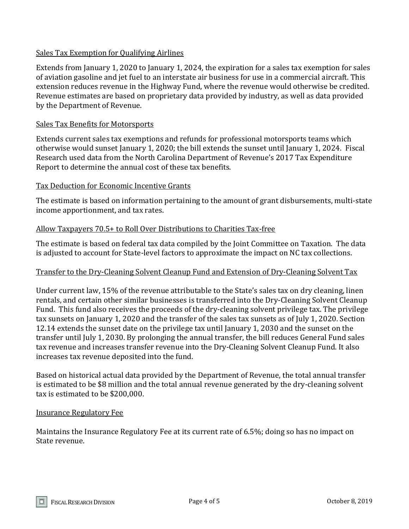#### Sales Tax Exemption for Qualifying Airlines

Extends from January 1, 2020 to January 1, 2024, the expiration for a sales tax exemption for sales of aviation gasoline and jet fuel to an interstate air business for use in a commercial aircraft. This extension reduces revenue in the Highway Fund, where the revenue would otherwise be credited. Revenue estimates are based on proprietary data provided by industry, as well as data provided by the Department of Revenue.

#### Sales Tax Benefits for Motorsports

Extends current sales tax exemptions and refunds for professional motorsports teams which otherwise would sunset January 1, 2020; the bill extends the sunset until January 1, 2024. Fiscal Research used data from the North Carolina Department of Revenue's 2017 Tax Expenditure Report to determine the annual cost of these tax benefits.

#### Tax Deduction for Economic Incentive Grants

The estimate is based on information pertaining to the amount of grant disbursements, multi-state income apportionment, and tax rates.

#### Allow Taxpayers 70.5+ to Roll Over Distributions to Charities Tax-free

The estimate is based on federal tax data compiled by the Joint Committee on Taxation. The data is adjusted to account for State-level factors to approximate the impact on NC tax collections.

#### Transfer to the Dry-Cleaning Solvent Cleanup Fund and Extension of Dry-Cleaning Solvent Tax

Under current law, 15% of the revenue attributable to the State's sales tax on dry cleaning, linen rentals, and certain other similar businesses is transferred into the Dry-Cleaning Solvent Cleanup Fund. This fund also receives the proceeds of the dry-cleaning solvent privilege tax. The privilege tax sunsets on January 1, 2020 and the transfer of the sales tax sunsets as of July 1, 2020. Section 12.14 extends the sunset date on the privilege tax until January 1, 2030 and the sunset on the transfer until July 1, 2030. By prolonging the annual transfer, the bill reduces General Fund sales tax revenue and increases transfer revenue into the Dry-Cleaning Solvent Cleanup Fund. It also increases tax revenue deposited into the fund.

Based on historical actual data provided by the Department of Revenue, the total annual transfer is estimated to be \$8 million and the total annual revenue generated by the dry-cleaning solvent tax is estimated to be \$200,000.

#### Insurance Regulatory Fee

Maintains the Insurance Regulatory Fee at its current rate of 6.5%; doing so has no impact on State revenue.